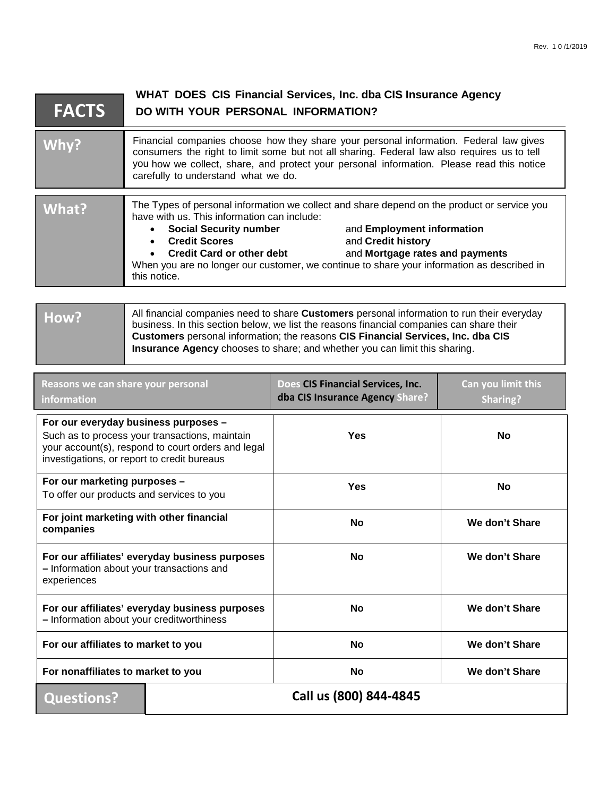| <b>FACTS</b> | WHAT DOES CIS Financial Services, Inc. dba CIS Insurance Agency<br>DO WITH YOUR PERSONAL INFORMATION?                                                                                                                                                                                                                     |                                                                                                                                                                                                                                                                                  |  |
|--------------|---------------------------------------------------------------------------------------------------------------------------------------------------------------------------------------------------------------------------------------------------------------------------------------------------------------------------|----------------------------------------------------------------------------------------------------------------------------------------------------------------------------------------------------------------------------------------------------------------------------------|--|
| Why?         | Financial companies choose how they share your personal information. Federal law gives<br>consumers the right to limit some but not all sharing. Federal law also requires us to tell<br>you how we collect, share, and protect your personal information. Please read this notice<br>carefully to understand what we do. |                                                                                                                                                                                                                                                                                  |  |
| What?        | have with us. This information can include:<br>• Social Security number<br><b>Credit Scores</b><br><b>Credit Card or other debt</b><br>this notice.                                                                                                                                                                       | The Types of personal information we collect and share depend on the product or service you<br>and Employment information<br>and Credit history<br>and Mortgage rates and payments<br>When you are no longer our customer, we continue to share your information as described in |  |

| How? | All financial companies need to share Customers personal information to run their everyday<br>business. In this section below, we list the reasons financial companies can share their<br>Customers personal information; the reasons CIS Financial Services, Inc. dba CIS<br><b>Insurance Agency</b> chooses to share; and whether you can limit this sharing. |
|------|-----------------------------------------------------------------------------------------------------------------------------------------------------------------------------------------------------------------------------------------------------------------------------------------------------------------------------------------------------------------|
|      |                                                                                                                                                                                                                                                                                                                                                                 |

| Reasons we can share your personal<br>information                                                                                                                                           |                        | Does CIS Financial Services, Inc.<br>dba CIS Insurance Agency Share? | Can you limit this<br><b>Sharing?</b> |
|---------------------------------------------------------------------------------------------------------------------------------------------------------------------------------------------|------------------------|----------------------------------------------------------------------|---------------------------------------|
| For our everyday business purposes -<br>Such as to process your transactions, maintain<br>your account(s), respond to court orders and legal<br>investigations, or report to credit bureaus |                        | Yes                                                                  | <b>No</b>                             |
| For our marketing purposes -<br>To offer our products and services to you                                                                                                                   |                        | Yes                                                                  | <b>No</b>                             |
| For joint marketing with other financial<br>companies                                                                                                                                       |                        | <b>No</b>                                                            | We don't Share                        |
| For our affiliates' everyday business purposes<br>- Information about your transactions and<br>experiences                                                                                  |                        | <b>No</b>                                                            | We don't Share                        |
| For our affiliates' everyday business purposes<br>- Information about your creditworthiness                                                                                                 |                        | No                                                                   | We don't Share                        |
| For our affiliates to market to you                                                                                                                                                         |                        | <b>No</b>                                                            | We don't Share                        |
| For nonaffiliates to market to you                                                                                                                                                          |                        | <b>No</b>                                                            | We don't Share                        |
| <b>Questions?</b>                                                                                                                                                                           | Call us (800) 844-4845 |                                                                      |                                       |